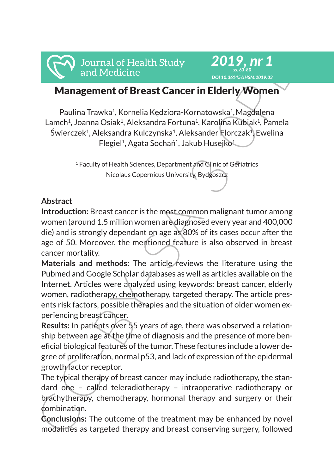# Management of Breast Cancer in Elderly Women

*2019, nr 1 ss. 63-80 DOI 10.36145/JHSM.2019.03*

Paulina Trawka<sup>1</sup>, Kornelia Kędziora-Kornatowska<sup>1</sup>, Magdalena Lamch<sup>1</sup>, Joanna Osiak<sup>1</sup>, Aleksandra Fortuna<sup>1</sup>, Karolina Kubiak<sup>1</sup>, Pamela Świerczek<sup>1</sup>, Aleksandra Kulczynska<sup>1</sup>, Aleksander Florczak<sup>1</sup>, Ewelina Flegiel<sup>1</sup>, Agata Sochań<sup>1</sup>, Jakub Husejko<sup>1</sup>

> <sup>1</sup> Faculty of Health Sciences, Department and Clinic of Geriatrics Nicolaus Copernicus University, Bydgoszcz

### **Abstract**

**Introduction:** Breast cancer is the most common malignant tumor among women (around 1.5 million women are diagnosed every year and 400,000 die) and is strongly dependant on age as 80% of its cases occur after the age of 50. Moreover, the mentioned feature is also observed in breast cancer mortality.

From the Materials of Health Study<br>
2012<br>
Management of Breast Cancer in Elderly Women<br>
Paulina Trawka<sup>1</sup>, Korekia Kedziora-Kornatowska<sup>1</sup>, Magdalena<br>
Lemón, Joanna Osia, Aleksandra Fortuna<sup>1</sup>, Karolina Kulalak, Pamela<br>
Sw Materials and methods: The article reviews the literature using the Pubmed and Google Scholar databases as well as articles available on the Internet. Articles were analyzed using keywords: breast cancer, elderly women, radiotherapy, chemotherapy, targeted therapy. The article presents risk factors, possible therapies and the situation of older women experiencing breast cancer.

**Results:** In patients over 55 years of age, there was observed a relationship between age at the time of diagnosis and the presence of more beneficial biological features of the tumor. These features include a lower degree of proliferation, normal p53, and lack of expression of the epidermal growth factor receptor.

The typical therapy of breast cancer may include radiotherapy, the standard one – called teleradiotherapy – intraoperative radiotherapy or brachytherapy, chemotherapy, hormonal therapy and surgery or their combination.

**Conclusions:** The outcome of the treatment may be enhanced by novel modalities as targeted therapy and breast conserving surgery, followed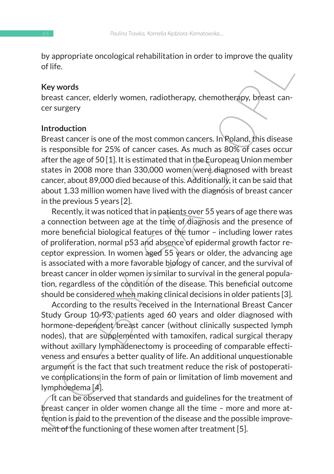by appropriate oncological rehabilitation in order to improve the quality of life.

### **Key words**

breast cancer, elderly women, radiotherapy, chemotherapy, breast cancer surgery

### **Introduction**

Breast cancer is one of the most common cancers. In Poland, this disease is responsible for 25% of cancer cases. As much as 80% of cases occur after the age of 50 [1]. It is estimated that in the European Union member states in 2008 more than 330,000 women were diagnosed with breast cancer, about 89,000 died because of this. Additionally, it can be said that about 1.33 million women have lived with the diagnosis of breast cancer in the previous 5 years [2].

by appropriate oncological renabilitation in order to improve the quality<br>of life.<br>
Key words<br>
breast cance, elderly women, radiotherapy, chemotherapy, breast cancer<br>
cresurgery<br>
Introduction<br>
Introduction<br>
Introduction<br>
I Recently, it was noticed that in patients over 55 years of age there was a connection between age at the time of diagnosis and the presence of more beneficial biological features of the tumor – including lower rates of proliferation, normal p53 and absence of epidermal growth factor receptor expression. In women aged 55 years or older, the advancing age is associated with a more favorable biology of cancer, and the survival of breast cancer in older women is similar to survival in the general population, regardless of the condition of the disease. This beneficial outcome should be considered when making clinical decisions in older patients [3].

According to the results received in the International Breast Cancer Study Group 10-93, patients aged 60 years and older diagnosed with hormone-dependent breast cancer (without clinically suspected lymph nodes), that are supplemented with tamoxifen, radical surgical therapy without axillary lymphadenectomy is proceeding of comparable effectiveness and ensures a better quality of life. An additional unquestionable argument is the fact that such treatment reduce the risk of postoperative complications in the form of pain or limitation of limb movement and lymphoedema [4].

It can be observed that standards and guidelines for the treatment of breast cancer in older women change all the time – more and more attention is paid to the prevention of the disease and the possible improvement of the functioning of these women after treatment [5].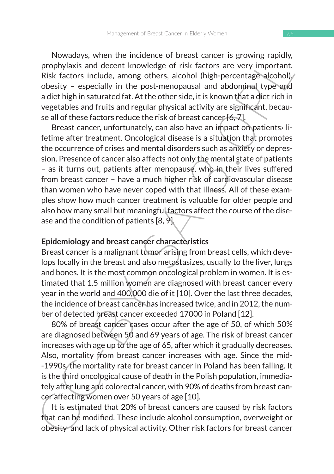Nowadays, when the incidence of breast cancer is growing rapidly, prophylaxis and decent knowledge of risk factors are very important. Risk factors include, among others, alcohol (high-percentage alcohol) obesity – especially in the post-menopausal and abdominal type and a diet high in saturated fat. At the other side, it is known that a diet rich in vegetables and fruits and regular physical activity are significant, because all of these factors reduce the risk of breast cancer [6, 7].

is vowaling, when the includente of the ast called that the yeolomy applying prophylaxis and decent knowledge of risk factors are very important.<br>Risk factors include, among others, alcohol (high-percentage alcohol), obse Breast cancer, unfortunately, can also have an impact on patients› lifetime after treatment. Oncological disease is a situation that promotes the occurrence of crises and mental disorders such as anxiety or depression. Presence of cancer also affects not only the mental state of patients – as it turns out, patients after menopause, who in their lives suffered from breast cancer – have a much higher risk of cardiovascular disease than women who have never coped with that illness. All of these examples show how much cancer treatment is valuable for older people and also how many small but meaningful factors affect the course of the disease and the condition of patients [8, 9].

### **Epidemiology and breast cancer characteristics**

Breast cancer is a malignant tumor arising from breast cells, which develops locally in the breast and also metastasizes, usually to the liver, lungs and bones. It is the most common oncological problem in women. It is estimated that 1.5 million women are diagnosed with breast cancer every year in the world and 400,000 die of it [10]. Over the last three decades, the incidence of breast cancer has increased twice, and in 2012, the number of detected breast cancer exceeded 17000 in Poland [12].

80% of breast cancer cases occur after the age of 50, of which 50% are diagnosed between 50 and 69 years of age. The risk of breast cancer increases with age up to the age of 65, after which it gradually decreases. Also, mortality from breast cancer increases with age. Since the mid- -1990s, the mortality rate for breast cancer in Poland has been falling. It is the third oncological cause of death in the Polish population, immediately after lung and colorectal cancer, with 90% of deaths from breast cancer affecting women over 50 years of age [10].

It is estimated that 20% of breast cancers are caused by risk factors that can be modified. These include alcohol consumption, overweight or obesity and lack of physical activity. Other risk factors for breast cancer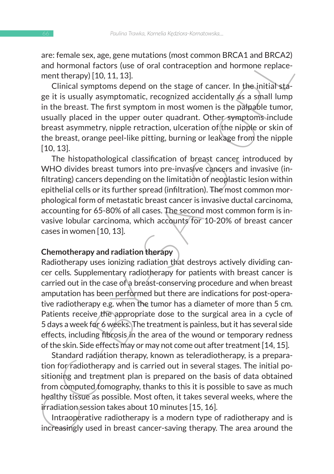are: female sex, age, gene mutations (most common BRCA1 and BRCA2) and hormonal factors (use of oral contraception and hormone replacement therapy) [10, 11, 13].

Clinical symptoms depend on the stage of cancer. In the initial stage it is usually asymptomatic, recognized accidentally as a small lump in the breast. The first symptom in most women is the palpable tumor, usually placed in the upper outer quadrant. Other symptoms include breast asymmetry, nipple retraction, ulceration of the nipple or skin of the breast, orange peel-like pitting, burning or leakage from the nipple [10, 13].

The histopathological classification of breast cancer introduced by WHO divides breast tumors into pre-invasive cancers and invasive (infiltrating) cancers depending on the limitation of neoplastic lesion within epithelial cells or its further spread (infiltration). The most common morphological form of metastatic breast cancer is invasive ductal carcinoma, accounting for 65-80% of all cases. The second most common form is invasive lobular carcinoma, which accounts for 10-20% of breast cancer cases in women [10, 13].

#### **Chemotherapy and radiation therapy**

are remaine sex, age, ten mutations, totos and hormonal factors (use of oral contraception and hormone replacement therapy) [10, 11, 13]. Clincial symptoms depend on the stage of cancer. In the initial stage it is usually Radiotherapy uses ionizing radiation that destroys actively dividing cancer cells. Supplementary radiotherapy for patients with breast cancer is carried out in the case of a breast-conserving procedure and when breast amputation has been performed but there are indications for post-operative radiotherapy e.g. when the tumor has a diameter of more than 5 cm. Patients receive the appropriate dose to the surgical area in a cycle of 5 days a week for 6 weeks. The treatment is painless, but it has several side effects, including fibrosis in the area of the wound or temporary redness of the skin. Side effects may or may not come out after treatment [14, 15].

Standard radiation therapy, known as teleradiotherapy, is a preparation for radiotherapy and is carried out in several stages. The initial positioning and treatment plan is prepared on the basis of data obtained from computed tomography, thanks to this it is possible to save as much healthy tissue as possible. Most often, it takes several weeks, where the irradiation session takes about 10 minutes [15, 16].

Intraoperative radiotherapy is a modern type of radiotherapy and is increasingly used in breast cancer-saving therapy. The area around the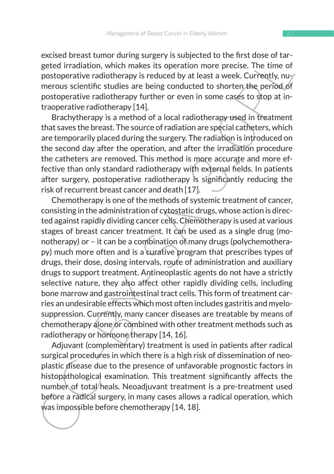excised breast tumor during surgery is subjected to the first dose of targeted irradiation, which makes its operation more precise. The time of postoperative radiotherapy is reduced by at least a week. Currently, numerous scientific studies are being conducted to shorten the period of postoperative radiotherapy further or even in some cases to stop at intraoperative radiotherapy [14].

Brachytherapy is a method of a local radiotherapy used in treatment that saves the breast. The source of radiation are special catheters, which are temporarily placed during the surgery. The radiation is introduced on the second day after the operation, and after the irradiation procedure the catheters are removed. This method is more accurate and more effective than only standard radiotherapy with external fields. In patients after surgery, postoperative radiotherapy is significantly reducing the risk of recurrent breast cancer and death [17].

exals the tast unit wany surgestige the state of the mist obset of tar-<br>geted irradiation, which makes its operation more precise. The time of<br>postoperative radiotherapy is reduced by at least a week. Currently, nuy<br>merous Chemotherapy is one of the methods of systemic treatment of cancer, consisting in the administration of cytostatic drugs, whose action is directed against rapidly dividing cancer cells. Chemotherapy is used at various stages of breast cancer treatment. It can be used as a single drug (monotherapy) or – it can be a combination of many drugs (polychemotherapy) much more often and is a curative program that prescribes types of drugs, their dose, dosing intervals, route of administration and auxiliary drugs to support treatment. Antineoplastic agents do not have a strictly selective nature, they also affect other rapidly dividing cells, including bone marrow and gastrointestinal tract cells. This form of treatment carries an undesirable effects which most often includes gastritis and myelosuppression. Currently, many cancer diseases are treatable by means of chemotherapy alone or combined with other treatment methods such as radiotherapy or hormone therapy [14, 16].

Adjuvant (complementary) treatment is used in patients after radical surgical procedures in which there is a high risk of dissemination of neoplastic disease due to the presence of unfavorable prognostic factors in histopathological examination. This treatment significantly affects the number of total/heals. Neoadjuvant treatment is a pre-treatment used before a radical surgery, in many cases allows a radical operation, which was impossible before chemotherapy [14, 18].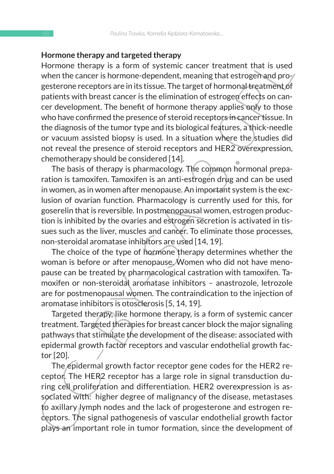#### **Hormone therapy and targeted therapy**

Homme therapy and targeted unerally<br>from therenve are the states and the Homme therapy is a form of systemic cancer treatment that is used<br>when the cancer is horm of systemic cancer treatment of systemic and pro-<br>gatetone Hormone therapy is a form of systemic cancer treatment that is used when the cancer is hormone-dependent, meaning that estrogen and progesterone receptors are in its tissue. The target of hormonal treatment of patients with breast cancer is the elimination of estrogen effects on cancer development. The benefit of hormone therapy applies only to those who have confirmed the presence of steroid receptors in cancer tissue. In the diagnosis of the tumor type and its biological features, a thick-needle or vacuum assisted biopsy is used. In a situation where the studies did not reveal the presence of steroid receptors and HER2 overexpression, chemotherapy should be considered [14].

The basis of therapy is pharmacology. The common hormonal preparation is tamoxifen. Tamoxifen is an anti-estrogen drug and can be used in women, as in women after menopause. An important system is the exclusion of ovarian function. Pharmacology is currently used for this, for goserelin that is reversible. In postmenopausal women, estrogen production is inhibited by the ovaries and estrogen secretion is activated in tissues such as the liver, muscles and cancer. To eliminate those processes, non-steroidal aromatase inhibitors are used [14, 19].

The choice of the type of hormone therapy determines whether the woman is before or after menopause. Women who did not have menopause can be treated by pharmacological castration with tamoxifen. Tamoxifen or non-steroidal aromatase inhibitors – anastrozole, letrozole are for postmenopausal women. The contraindication to the injection of aromatase inhibitors is otosclerosis [5, 14, 19].

Targeted therapy, like hormone therapy, is a form of systemic cancer treatment. Targeted therapies for breast cancer block the major signaling pathways that stimulate the development of the disease: associated with epidermal growth factor receptors and vascular endothelial growth factor [20].

The epidermal growth factor receptor gene codes for the HER2 receptor. The HER2 receptor has a large role in signal transduction during cell proliferation and differentiation. HER2 overexpression is associated with: higher degree of malignancy of the disease, metastases to axillary lymph nodes and the lack of progesterone and estrogen receptors. The signal pathogenesis of vascular endothelial growth factor plays an important role in tumor formation, since the development of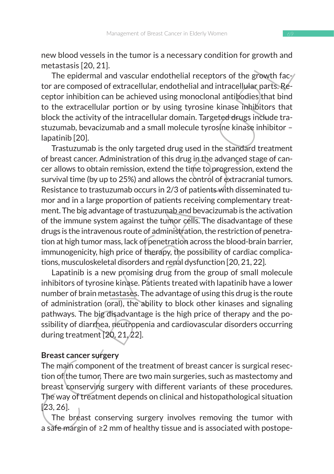new blood vessels in the tumor is a necessary condition for growth and metastasis [20, 21].

The epidermal and vascular endothelial receptors of the growth factor are composed of extracellular, endothelial and intracellular parts. Receptor inhibition can be achieved using monoclonal antibodies that bind to the extracellular portion or by using tyrosine kinase inhibitors that block the activity of the intracellular domain. Targeted drugs include trastuzumab, bevacizumab and a small molecule tyrosine kinase inhibitor – lapatinib [20].

new buoto vessels with the unior is a intelessary contotion to gowthrania<br>metastasis [20, 21].<br>The epidermal and vasculair endothelial recorbors of the gowth fac-<br>processor for the going thromation and baseline correlation Trastuzumab is the only targeted drug used in the standard treatment of breast cancer. Administration of this drug in the advanced stage of cancer allows to obtain remission, extend the time to progression, extend the survival time (by up to 25%) and allows the control of extracranial tumors. Resistance to trastuzumab occurs in 2/3 of patients with disseminated tumor and in a large proportion of patients receiving complementary treatment. The big advantage of trastuzumab and bevacizumab is the activation of the immune system against the tumor cells. The disadvantage of these drugs is the intravenous route of administration, the restriction of penetration at high tumor mass, lack of penetration across the blood-brain barrier, immunogenicity, high price of therapy, the possibility of cardiac complications, musculoskeletal disorders and renal dysfunction [20, 21, 22].

Lapatinib is a new promising drug from the group of small molecule inhibitors of tyrosine kinase. Patients treated with lapatinib have a lower number of brain metastases. The advantage of using this drug is the route of administration (oral), the ability to block other kinases and signaling pathways. The big disadvantage is the high price of therapy and the possibility of diarrhea, neutropenia and cardiovascular disorders occurring during treatment [20, 21, 22].

### **Breast cancer surgery**

The main component of the treatment of breast cancer is surgical resection of the tumor. There are two main surgeries, such as mastectomy and breast conserving surgery with different variants of these procedures. The way of treatment depends on clinical and histopathological situation [23, 26].

The breast conserving surgery involves removing the tumor with a safe margin of ≥2 mm of healthy tissue and is associated with postope-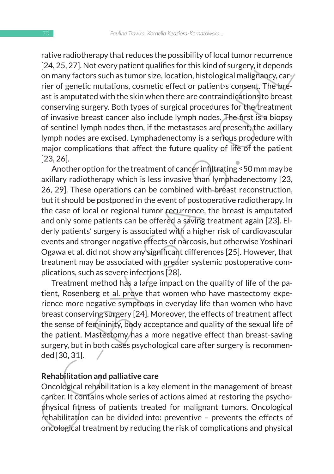rative radiotherapy that reduces the possibility of local tumor recurrence [24, 25, 27]. Not every patient qualifies for this kind of surgery, it depends on many factors such as tumor size, location, histological malignancy, carrier of genetic mutations, cosmetic effect or patient›s consent. The breast is amputated with the skin when there are contraindications to breast conserving surgery. Both types of surgical procedures for the treatment of invasive breast cancer also include lymph nodes. The first is a biopsy of sentinel lymph nodes then, if the metastases are present, the axillary lymph nodes are excised. Lymphadenectomy is a serious procedure with major complications that affect the future quality of life of the patient [23, 26].

rature Hautomeray Intartests to e possibility in the transmit retained profile and the sample of the sample of the sample of the sample of the sample of the sample of the sample of the sample of the sample of the sample of Another option for the treatment of cancer infiltrating ≤50 mm may be axillary radiotherapy which is less invasive than lymphadenectomy [23, 26, 29]. These operations can be combined with breast reconstruction, but it should be postponed in the event of postoperative radiotherapy. In the case of local or regional tumor recurrence, the breast is amputated and only some patients can be offered a saving treatment again [23]. Elderly patients' surgery is associated with a higher risk of cardiovascular events and stronger negative effects of narcosis, but otherwise Yoshinari Ogawa et al. did not show any significant differences [25]. However, that treatment may be associated with greater systemic postoperative complications, such as severe infections [28].

Treatment method has a large impact on the quality of life of the patient, Rosenberg et al. prove that women who have mastectomy experience more negative symptoms in everyday life than women who have breast conserving surgery [24]. Moreover, the effects of treatment affect the sense of femininity, body acceptance and quality of the sexual life of the patient. Mastectomy has a more negative effect than breast-saving surgery, but in both cases psychological care after surgery is recommended [30, 31].

### **Rehabilitation and palliative care**

Oncological rehabilitation is a key element in the management of breast cancer. It contains whole series of actions aimed at restoring the psychophysical fitness of patients treated for malignant tumors. Oncological rehabilitation can be divided into: preventive – prevents the effects of oncological treatment by reducing the risk of complications and physical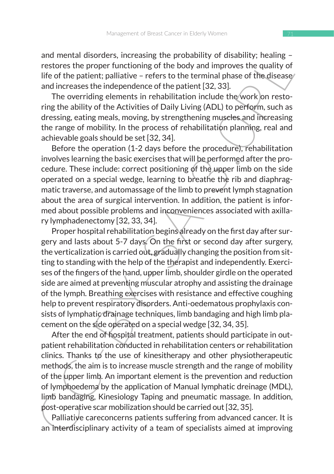and mental disorders, increasing the probability of disability; healing – restores the proper functioning of the body and improves the quality of life of the patient; palliative – refers to the terminal phase of the disease and increases the independence of the patient [32, 33].

The overriding elements in rehabilitation include the work on restoring the ability of the Activities of Daily Living (ADL) to perform, such as dressing, eating meals, moving, by strengthening muscles and increasing the range of mobility. In the process of rehabilitation planning, real and achievable goals should be set [32, 34].

Before the operation (1-2 days before the procedure), rehabilitation involves learning the basic exercises that will be performed after the procedure. These include: correct positioning of the upper limb on the side operated on a special wedge, learning to breathe the rib and diaphragmatic traverse, and automassage of the limb to prevent lymph stagnation about the area of surgical intervention. In addition, the patient is informed about possible problems and inconveniences associated with axillary lymphadenectomy [32, 33, 34].

and methanologies, interesting the probability of tradiminal unisting e-<br>restores the proper functioning of the body and improves the quality of<br>restores the proper functioning of the body and improves the quality of<br>life Proper hospital rehabilitation begins already on the first day after surgery and lasts about 5-7 days. On the first or second day after surgery, the verticalization is carried out, gradually changing the position from sitting to standing with the help of the therapist and independently. Exercises of the fingers of the hand, upper limb, shoulder girdle on the operated side are aimed at preventing muscular atrophy and assisting the drainage of the lymph. Breathing exercises with resistance and effective coughing help to prevent respiratory disorders. Anti-oedematous prophylaxis consists of lymphatic drainage techniques, limb bandaging and high limb placement on the side operated on a special wedge [32, 34, 35].

After the end of hospital treatment, patients should participate in outpatient rehabilitation conducted in rehabilitation centers or rehabilitation  $clinics.$  Thanks to the use of kinesitherapy and other physiotherapeutic methods, the aim is to increase muscle strength and the range of mobility of the upper limb. An important element is the prevention and reduction of lymphoedema by the application of Manual lymphatic dreinage (MDL), limb bandaging, Kinesiology Taping and pneumatic massage. In addition, post-operative scar mobilization should be carried out [32, 35].

Palliative careconcerns patients suffering from advanced cancer. It is an interdisciplinary activity of a team of specialists aimed at improving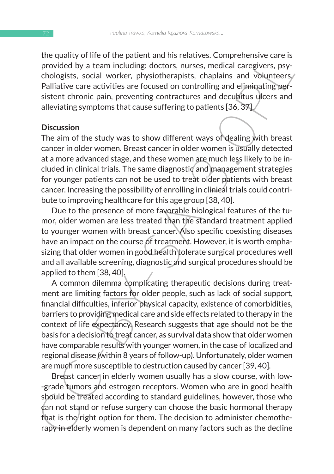the quality of life of the patient and his relatives. Comprehensive care is provided by a team including: doctors, nurses, medical caregivers, psychologists, social worker, physiotherapists, chaplains and volunteers. Palliative care activities are focused on controlling and eliminating persistent chronic pain, preventing contractures and decubitus ulcers and alleviating symptoms that cause suffering to patients [36, 37].

#### **Discussion**

The aim of the study was to show different ways of dealing with breast cancer in older women. Breast cancer in older women is usually detected at a more advanced stage, and these women are much less likely to be included in clinical trials. The same diagnostic and management strategies for younger patients can not be used to treat older patients with breast cancer. Increasing the possibility of enrolling in clinical trials could contribute to improving healthcare for this age group [38, 40].

Due to the presence of more favorable biological features of the tumor, older women are less treated than the standard treatment applied to younger women with breast cancer. Also specific coexisting diseases have an impact on the course of treatment. However, it is worth emphasizing that older women in good health tolerate surgical procedures well and all available screening, diagnostic and surgical procedures should be applied to them [38, 40].

the quality on ine to the patient and his telatowes. Completies how carried by a team including: declors, nurses, medical caregivers, psy-<br>chologists, social vorker, physiotherapists, chaplains and volunteers/<br>Palliative c A common dilemma complicating therapeutic decisions during treatment are limiting factors for older people, such as lack of social support, financial difficulties, inferior physical capacity, existence of comorbidities, barriers to providing medical care and side effects related to therapy in the context of life expectancy. Research suggests that age should not be the basis for a decision to treat cancer, as survival data show that older women have comparable results with younger women, in the case of localized and regional disease (within 8 years of follow-up). Unfortunately, older women are much more susceptible to destruction caused by cancer [39, 40].

Breast cancer in elderly women usually has a slow course, with low--grade tumors and estrogen receptors. Women who are in good health should be treated according to standard guidelines, however, those who can not stand or refuse surgery can choose the basic hormonal therapy that is the right option for them. The decision to administer chemotherapy in elderly women is dependent on many factors such as the decline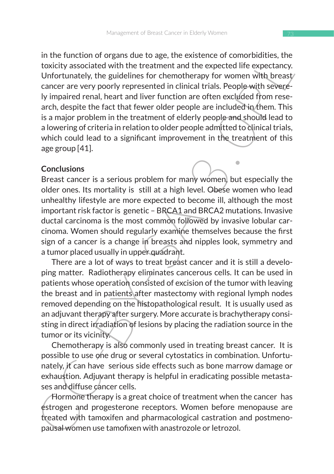In the toutual of ougals due to age, the existente of controllations, the<br>foreign-theorem and phase to the state of controllations of the state of the state of the state of the state of<br>contributions of the state of the st in the function of organs due to age, the existence of comorbidities, the toxicity associated with the treatment and the expected life expectancy. Unfortunately, the guidelines for chemotherapy for women with breast/ cancer are very poorly represented in clinical trials. People with severely impaired renal, heart and liver function are often excluded from research, despite the fact that fewer older people are included in them. This is a major problem in the treatment of elderly people and should lead to a lowering of criteria in relation to older people admitted to clinical trials, which could lead to a significant improvement in the treatment of this age group [41].

### **Conclusions**

Breast cancer is a serious problem for many women, but especially the older ones. Its mortality is still at a high level. Obese women who lead unhealthy lifestyle are more expected to become ill, although the most important risk factor is genetic – BRCA1 and BRCA2 mutations. Invasive ductal carcinoma is the most common followed by invasive lobular carcinoma. Women should regularly examine themselves because the first sign of a cancer is a change in breasts and nipples look, symmetry and a tumor placed usually in upper quadrant.

There are a lot of ways to treat breast cancer and it is still a developing matter. Radiotherapy eliminates cancerous cells. It can be used in patients whose operation consisted of excision of the tumor with leaving the breast and in patients after mastectomy with regional lymph nodes removed depending on the histopathological result. It is usually used as an adjuvant therapy after surgery. More accurate is brachytherapy consisting in direct irradiation of lesions by placing the radiation source in the tumor or its vicinity.

Chemotherapy is also commonly used in treating breast cancer. It is possible to use one drug or several cytostatics in combination. Unfortunately, it can have serious side effects such as bone marrow damage or exhaustion. Adjuvant therapy is helpful in eradicating possible metastases and diffuse cancer cells.

Hormone therapy is a great choice of treatment when the cancer has estrogen and progesterone receptors. Women before menopause are treated with tamoxifen and pharmacological castration and postmenopausal women use tamofixen with anastrozole or letrozol.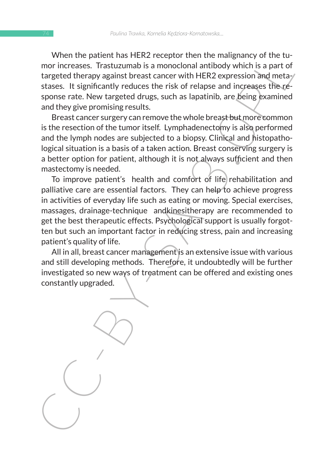When the patient has HER2 receptor then the malignancy of the tumor increases. Trastuzumab is a monoclonal antibody which is a part of targeted therapy against breast cancer with HER2 expression and metastases. It significantly reduces the risk of relapse and increases the response rate. New targeted drugs, such as lapatinib, are being examined and they give promising results.

Breast cancer surgery can remove the whole breast but more common is the resection of the tumor itself. Lymphadenectomy is also performed and the lymph nodes are subjected to a biopsy. Clinical and histopathological situation is a basis of a taken action. Breast conserving surgery is a better option for patient, although it is not always sufficient and then mastectomy is needed.

where the pattern thas here, zee-tepport neither manigramety of the tu-<br>more increases. Trastuzumab is a monochonal antiblody which is a part of<br>targeted therapy against breast cancer with HER2 expression and meta-<br>stasse. To improve patient's health and comfort of life rehabilitation and palliative care are essential factors. They can help to achieve progress in activities of everyday life such as eating or moving. Special exercises, massages, drainage-technique andkinesitherapy are recommended to get the best therapeutic effects. Psychological support is usually forgotten but such an important factor in reducing stress, pain and increasing patient's quality of life.

All in all, breast cancer management is an extensive issue with various and still developing methods. Therefore, it undoubtedly will be further investigated so new ways of treatment can be offered and existing ones constantly upgraded.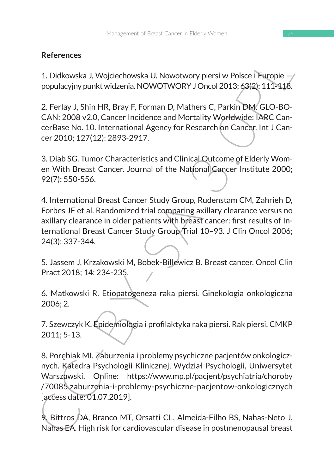## **References**

1. Didkowska J, Wojciechowska U. Nowotwory piersi w Polsce i Europie populacyjny punkt widzenia. NOWOTWORY J Oncol 2013; 63(2): 111-118.

2. Ferlay J, Shin HR, Bray F, Forman D, Mathers C, Parkin DM. GLO-BO-CAN: 2008 v2.0, Cancer Incidence and Mortality Worldwide: IARC CancerBase No. 10. International Agency for Research on Cancer. Int J Cancer 2010; 127(12): 2893-2917.

3. Diab SG. Tumor Characteristics and Clinical Outcome of Elderly Women With Breast Cancer. Journal of the National Cancer Institute 2000; 92(7): 550-556.

4. International Breast Cancer Study Group, Rudenstam CM, Zahrieh D, Forbes JF et al. Randomized trial comparing axillary clearance versus no axillary clearance in older patients with breast cancer: first results of International Breast Cancer Study Group Trial 10–93. J Clin Oncol 2006; 24(3): 337-344*.*

5. Jassem J, Krzakowski M, Bobek-Billewicz B. Breast cancer. Oncol Clin Pract 2018; 14: 234-235.

6. Matkowski R. Etiopatogeneza raka piersi*.* Ginekologia onkologiczna 2006; 2.

7. Szewczyk K. Epidemiologia i profilaktyka raka piersi. Rak piersi. CMKP 2011; 5-13.

References<br>
1. Didkowska J, Wojciechowska U, Nowotwory piersi w Polsce i Europie —<br>
populacyjny politic Mytechowska U. Nowotwory piersi w Polsce i Europie —<br>
2. Ferlay J, Shin HR, Bray F, Forman D, Mathers C, Parkin DM, GL 8. Porębiak MI. Zaburzenia i problemy psychiczne pacjentów onkologicznych. Katedra Psychologii Klinicznej, Wydział Psychologii, Uniwersytet Warszawski. Online: https://www.mp.pl/pacjent/psychiatria/choroby /70085,zaburzenia-i-problemy-psychiczne-pacjentow-onkologicznych [access date: 01.07.2019].

9. Bittros DA, Branco MT, Orsatti CL, Almeida-Filho BS, Nahas-Neto J, Nahas EA. High risk for cardiovascular disease in postmenopausal breast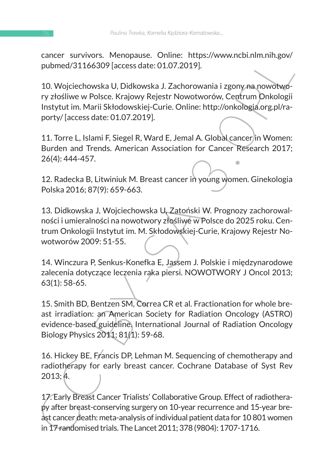cancer survivors. Menopause. Online: https://www.ncbi.nlm.nih.gov/ pubmed/31166309 [access date: 01.07.2019].

Cancer Survivus. "Menipuse. Orimie: "ntgp.<br>
2013; Apple pubmed/31166309 [access date: 01.07.2019].<br>
10. Wojciechowska U, Didkowska J. Zachorowania i zgony na nowotwo-<br>
ry złośliwe w Polsce. Krajowy Rejestr Nowotworów, Cent 10. Wojciechowska U, Didkowska J. Zachorowania i zgony na nowotwory złośliwe w Polsce. Krajowy Rejestr Nowotworów, Centrum Onkologii Instytut im. Marii Skłodowskiej-Curie. Online: http://onkologia.org.pl/raporty/ [access date: 01.07.2019].

11. Torre L, Islami F, Siegel R, Ward E, Jemal A. Global cancer in Women: Burden and Trends. American Association for Cancer Research 2017; 26(4): 444-457.

12. Radecka B, Litwiniuk M. Breast cancer in young women. Ginekologia Polska 2016; 87(9): 659-663.

13. Didkowska J, Wojciechowska U, Zatoński W. Prognozy zachorowalności i umieralności na nowotwory złośliwe w Polsce do 2025 roku. Centrum Onkologii Instytut im. M. Skłodowskiej-Curie, Krajowy Rejestr Nowotworów 2009: 51-55.

14. Winczura P, Senkus-Konefka E, Jassem J. Polskie i międzynarodowe zalecenia dotyczące leczenia raka piersi. NOWOTWORY J Oncol 2013; 63(1): 58-65.

15. Smith BD, Bentzen SM, Correa CR et al. Fractionation for whole breast irradiation: an American Society for Radiation Oncology (ASTRO) evidence-based guideline. International Journal of Radiation Oncology Biology Physics 2011; 81(1): 59-68.

16. Hickey BE, Francis DP, Lehman M. Sequencing of chemotherapy and radiotherapy for early breast cancer. Cochrane Database of Syst Rev 2013; 4.

17. Early Breast Cancer Trialists' Collaborative Group. Effect of radiotherapy after breast-conserving surgery on 10-year recurrence and 15-year breast cancer death: meta-analysis of individual patient data for 10 801 women in 17 randomised trials. The Lancet 2011; 378 (9804): 1707-1716.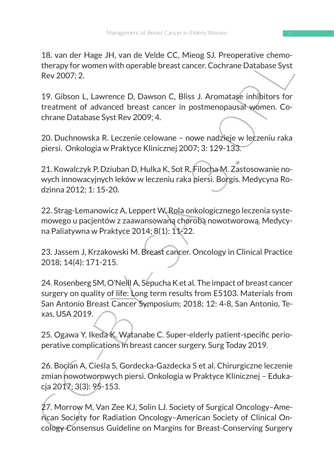18. van der Hage JH, van de Velde CC, Mieog SJ. Preoperative chemotherapy for women with operable breast cancer. Cochrane Database Syst Rev 2007; 2.

19. Gibson L, Lawrence D, Dawson C, Bliss J. Aromatase inhibitors for treatment of advanced breast cancer in postmenopausal women. Cochrane Database Syst Rev 2009; 4.

20. Duchnowska R. Leczenie celowane – nowe nadzieje w leczeniu raka piersi. Onkologia w Praktyce Klinicznej 2007; 3: 129-133.

21. Kowalczyk P, Dziuban D, Hulka K, Sot R, Filocha M. Zastosowanie nowych innowacyjnych leków w leczeniu raka piersi. Borgis. Medycyna Rodzinna 2012; 1: 15-20.

22. Strąg-Lemanowicz A, Leppert W. Rola onkologicznego leczenia systemowego u pacjentów z zaawansowaną chorobą nowotworową. Medycyna Paliatywna w Praktyce 2014; 8(1): 11-22.

23. Jassem J, Krzakowski M. Breast cancer. Oncology in Clinical Practice 2018; 14(4): 171-215.

1. Vari er Frage Jr., vari er evale ett, vilkeg ast, *r* teopieralve chienne<br>
therapy for women with operable breast cancer. Cochrane Database Syst<br>
Rev 2007; 2.<br>
19. Gibson L, Lawrence D, Dawson C, Bliss J. Aromatage inhi 24. Rosenberg SM, O'Neill A, Sepucha K et al. The impact of breast cancer surgery on quality of life: Long term results from E5103. Materials from San Antonio Breast Cancer Symposium; 2018; 12: 4-8, San Antonio, Texas, USA 2019.

25. Ogawa Y, Ikeda K, Watanabe C. Super-elderly patient-specific perioperative complications in breast cancer surgery. Surg Today 2019.

26. Bocian A, Cieśla S, Gordecka-Gazdecka S et al. Chirurgiczne leczenie zmian nowotworowych piersi. Onkologia w Praktyce Klinicznej – Edukacja 2017; 3(3): 95-153.

27. Morrow M, Van Zee KJ, Solin LJ. Society of Surgical Oncology–American Society for Radiation Oncology–American Society of Clinical Oncology Consensus Guideline on Margins for Breast-Conserving Surgery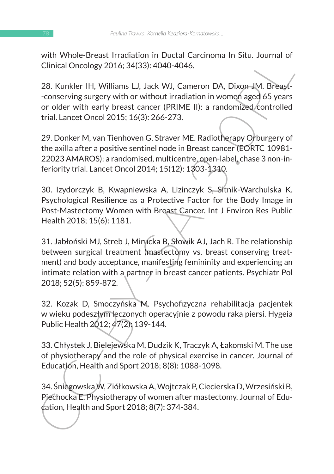with Whole-Breast Irradiation in Ductal Carcinoma In Situ. Journal of Clinical Oncology 2016; 34(33): 4040-4046.

28. Kunkler IH, Williams LJ, Jack WJ, Cameron DA, Dixon JM. Breast- -conserving surgery with or without irradiation in women aged 65 years or older with early breast cancer (PRIME II): a randomized controlled trial. Lancet Oncol 2015; 16(3): 266-273.

29. Donker M, van Tienhoven G, Straver ME. Radiotherapy Orburgery of the axilla after a positive sentinel node in Breast cancer (EORTC 10981- 22023 AMAROS): a randomised, multicentre, open-label, chase 3 non-inferiority trial. Lancet Oncol 2014; 15(12): 1303-1310.

30. Izydorczyk B, Kwapniewska A, Lizinczyk S, Sitnik-Warchulska K. Psychological Resilience as a Protective Factor for the Body Image in Post-Mastectomy Women with Breast Cancer. Int J Environ Res Public Health 2018; 15(6): 1181.

wir winde-ertast Fraduction in Doctar Cardinal in Stits. Journal of<br>Clinical Oncology 2016; 34(33): 4040-4046.<br>28. Kunkler IH, Williams LJ, Jack WJ, Cameron DA, Dixon-JM. Breast-<br>conserving surgery with or without irradiat 31. Jabłoński MJ, Streb J, Mirucka B, Słowik AJ, Jach R. The relationship between surgical treatment (mastectomy vs. breast conserving treatment) and body acceptance, manifesting femininity and experiencing an intimate relation with a partner in breast cancer patients. Psychiatr Pol 2018; 52(5): 859-872.

32. Kozak D, Smoczyńska M. Psychofizyczna rehabilitacja pacjentek w wieku podeszłym leczonych operacyjnie z powodu raka piersi. Hygeia Public Health 2012; 47(2): 139-144.

33. Chłystek J, Bielejewska M, Dudzik K, Traczyk A, Łakomski M. The use of physiotherapy and the role of physical exercise in cancer. Journal of Education, Health and Sport 2018; 8(8): 1088-1098.

34. Śniegowska W, Ziółkowska A, Wojtczak P, Ciecierska D, Wrzesiński B, Piechocka E. Physiotherapy of women after mastectomy. Journal of Education, Health and Sport 2018; 8(7): 374-384.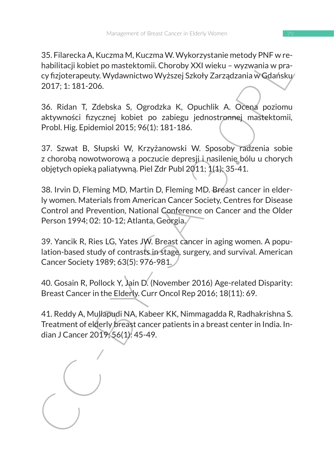35. Filarecka A, Kuczma M, Kuczma W. Wykorzystanie metody PNF w rehabilitacii kobiet po mastektomii. Choroby XXI wieku – wyzwania w pracy fizjoterapeuty. Wydawnictwo Wyższej Szkoły Zarządzania w Gdańsku 2017; 1: 181-206.

36. Ridan T, Zdebska S, Ogrodzka K, Opuchlik A. Ocena poziomu aktywności fizycznej kobiet po zabiegu jednostronnej mastektomii*,*  Probl. Hig. Epidemiol 2015; 96(1): 181-186.

37. Szwat B, Słupski W, Krzyżanowski W. Sposoby radzenia sobie z choroba nowotworowa a poczucie depresii i nasilenie bólu u chorych objętych opieką paliatywną. Piel Zdr Publ 2011; 1(1): 35-41.

3. Filatetxa A, NuZhila Wi, NuZhila Wi wywoni zystaline linelooy PKr wielest<br>
habilitacji kobiet po mastektomii. Choroby XXI wieku – wyzwania w pracy fizjoterapeuty, Wydawnictwo Wyższej Szkoły Zarządzania w Gdańsku<br>
2017; 38. Irvin D, Fleming MD, Martin D, Fleming MD. Breast cancer in elderly women. Materials from American Cancer Society, Centres for Disease Control and Prevention, National Conference on Cancer and the Older Person 1994; 02: 10-12; Atlanta, Georgia.

39. Yancik R, Ries LG, Yates JW. Breast cancer in aging women. A population-based study of contrasts in stage, surgery, and survival. American Cancer Society 1989; 63(5): 976-981.

40. Gosain R, Pollock Y, Jain D. (November 2016) Age-related Disparity: Breast Cancer in the Elderly. Curr Oncol Rep 2016; 18(11): 69.

41. Reddy A, Mullapudi NA, Kabeer KK, Nimmagadda R, Radhakrishna S. Treatment of elderly breast cancer patients in a breast center in India. Indian J Cancer 2019; 56(1): 45-49.